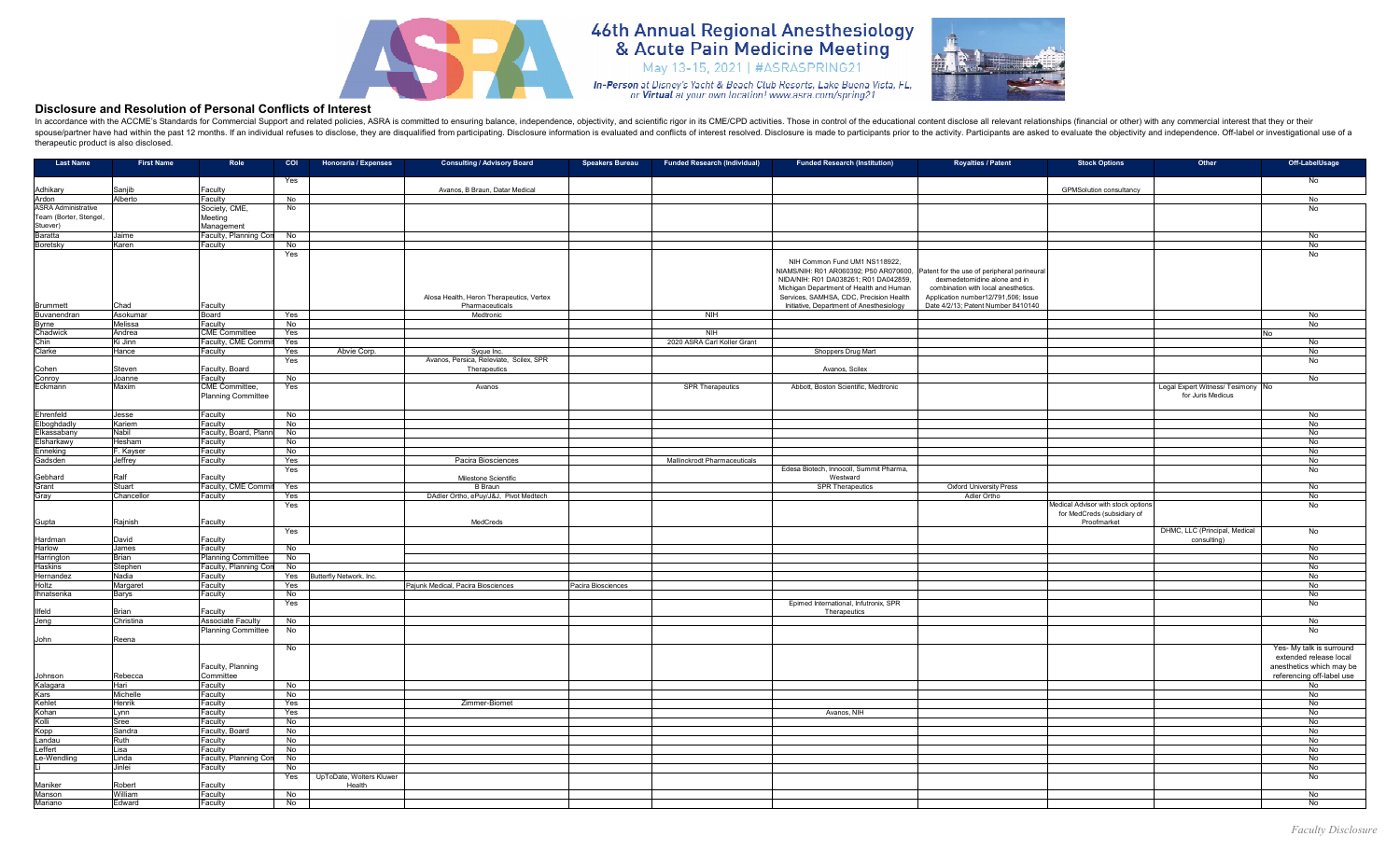

## **46th Annual Regional Anesthesiology<br>& Acute Pain Medicine Meeting** May 13-15, 2021 | #ASRASPRING21



## **Disclosure and Resolution of Personal Conflicts of Interest**

In accordance with the ACCME's Standards for Commercial Support and related policies, ASRA is committed to ensuring balance, independence, objectivity, and scientific rigor in its CME/CPD activities. Those in control of th spouse/partner have had within the past 12 months. If an individual refuses to disclose, they are disqualified from participating. Disclosure information is evaluated and conflicts of interest resolved. Disclosure is made therapeutic product is also disclosed.

| <b>Last Name</b>                 | <b>First Name</b> | Role                                 | <b>COI</b>            | <b>Honoraria / Expenses</b>        | <b>Consulting / Advisory Board</b>                          | <b>Speakers Bureau</b> | <b>Funded Research (Individual)</b> | <b>Funded Research (Institution)</b>                                                                                                                                                                                                               | <b>Royalties / Patent</b>                                                                                                                                                                       | <b>Stock Options</b>                                                                    | Other                                                  | Off-LabelUsage                                        |
|----------------------------------|-------------------|--------------------------------------|-----------------------|------------------------------------|-------------------------------------------------------------|------------------------|-------------------------------------|----------------------------------------------------------------------------------------------------------------------------------------------------------------------------------------------------------------------------------------------------|-------------------------------------------------------------------------------------------------------------------------------------------------------------------------------------------------|-----------------------------------------------------------------------------------------|--------------------------------------------------------|-------------------------------------------------------|
|                                  |                   |                                      | Yes                   |                                    |                                                             |                        |                                     |                                                                                                                                                                                                                                                    |                                                                                                                                                                                                 |                                                                                         |                                                        | No                                                    |
| Adhikary<br>Ardon                | Saniib<br>Alberto | Faculty<br>Faculty                   | No                    |                                    | Avanos, B Braun, Datar Medical                              |                        |                                     |                                                                                                                                                                                                                                                    |                                                                                                                                                                                                 | <b>GPMSolution consultancy</b>                                                          |                                                        | No                                                    |
| <b>ASRA Administrative</b>       |                   | Society, CME,                        | No                    |                                    |                                                             |                        |                                     |                                                                                                                                                                                                                                                    |                                                                                                                                                                                                 |                                                                                         |                                                        | No                                                    |
| Team (Borter, Stengel,           |                   | Meeting                              |                       |                                    |                                                             |                        |                                     |                                                                                                                                                                                                                                                    |                                                                                                                                                                                                 |                                                                                         |                                                        |                                                       |
| Stuever)                         |                   | Management                           |                       |                                    |                                                             |                        |                                     |                                                                                                                                                                                                                                                    |                                                                                                                                                                                                 |                                                                                         |                                                        |                                                       |
| Baratta<br>Boretsky              | Jaime<br>Karen    | Faculty, Planning Con<br>Faculty     | No<br>No              |                                    |                                                             |                        |                                     |                                                                                                                                                                                                                                                    |                                                                                                                                                                                                 |                                                                                         |                                                        | No<br>No                                              |
|                                  |                   |                                      | Yes                   |                                    |                                                             |                        |                                     |                                                                                                                                                                                                                                                    |                                                                                                                                                                                                 |                                                                                         |                                                        | No                                                    |
| <b>Brummett</b>                  | Chad              | Faculty                              |                       |                                    | Alosa Health, Heron Therapeutics, Vertex<br>Pharmaceuticals |                        |                                     | NIH Common Fund UM1 NS118922.<br>NIAMS/NIH: R01 AR060392; P50 AR070600,<br>NIDA/NIH: R01 DA038261; R01 DA042859,<br>Michigan Department of Health and Human<br>Services, SAMHSA, CDC, Precision Health<br>Initiative, Department of Anesthesiology | Patent for the use of peripheral perineural<br>dexmedetomidine alone and in<br>combination with local anesthetics.<br>Application number12/791,506; Issue<br>Date 4/2/13; Patent Number 8410140 |                                                                                         |                                                        |                                                       |
| Buvanendran                      | Asokumar          | Board                                | Yes                   |                                    | Medtronic                                                   |                        | N <sub>H</sub>                      |                                                                                                                                                                                                                                                    |                                                                                                                                                                                                 |                                                                                         |                                                        | No                                                    |
| 3yrne<br>Chadwick                | Melissa<br>Andrea | Faculty<br><b>CME Committee</b>      | $\overline{N}$<br>Yes |                                    |                                                             |                        | <b>NIH</b>                          |                                                                                                                                                                                                                                                    |                                                                                                                                                                                                 |                                                                                         |                                                        | No<br><b>No</b>                                       |
| Chin                             | Ki Jinn           | Faculty, CME Comm                    | Yes                   |                                    |                                                             |                        | 2020 ASRA Carl Koller Grant         |                                                                                                                                                                                                                                                    |                                                                                                                                                                                                 |                                                                                         |                                                        | No                                                    |
| Clarke                           | Hance             | Faculty                              | Yes                   | Abvie Corp.                        | Syque Inc.                                                  |                        |                                     | Shoppers Drug Mart                                                                                                                                                                                                                                 |                                                                                                                                                                                                 |                                                                                         |                                                        | No                                                    |
|                                  |                   |                                      | Yes                   |                                    | Avanos, Persica, Releviate, Scilex, SPR                     |                        |                                     |                                                                                                                                                                                                                                                    |                                                                                                                                                                                                 |                                                                                         |                                                        | No                                                    |
| ohen:                            | Steven            | Faculty, Board                       |                       |                                    | Therapeutics                                                |                        |                                     | Avanos, Scilex                                                                                                                                                                                                                                     |                                                                                                                                                                                                 |                                                                                         |                                                        |                                                       |
| Conroy                           | Joanne            | Faculty                              | No                    |                                    |                                                             |                        | <b>SPR Therapeutics</b>             | Abbott, Boston Scientific, Medtronic                                                                                                                                                                                                               |                                                                                                                                                                                                 |                                                                                         |                                                        | No                                                    |
| Eckmann                          | Maxim             | CME Committee,<br>Planning Committee | Yes                   |                                    | Avanos                                                      |                        |                                     |                                                                                                                                                                                                                                                    |                                                                                                                                                                                                 |                                                                                         | Legal Expert Witness/ Tesimony No<br>for Juris Medicus |                                                       |
| Ehrenfeld                        | Jesse             | Faculty                              | No                    |                                    |                                                             |                        |                                     |                                                                                                                                                                                                                                                    |                                                                                                                                                                                                 |                                                                                         |                                                        | No                                                    |
| Elboghdadly                      | Kariem            | Faculty                              | No                    |                                    |                                                             |                        |                                     |                                                                                                                                                                                                                                                    |                                                                                                                                                                                                 |                                                                                         |                                                        | No                                                    |
| <b>Elkassabanv</b><br>Elsharkawy | Nabil<br>Hesham   | Faculty, Board, Plann<br>Faculty     | No<br>$\overline{N}$  |                                    |                                                             |                        |                                     |                                                                                                                                                                                                                                                    |                                                                                                                                                                                                 |                                                                                         |                                                        | No<br>No                                              |
| <b>Enneking</b>                  | F. Kayser         | Faculty                              | No                    |                                    |                                                             |                        |                                     |                                                                                                                                                                                                                                                    |                                                                                                                                                                                                 |                                                                                         |                                                        | No                                                    |
| Gadsden                          | Jeffrey           | Faculty                              | Yes                   |                                    | Pacira Biosciences                                          |                        | Mallinckrodt Pharmaceuticals        |                                                                                                                                                                                                                                                    |                                                                                                                                                                                                 |                                                                                         |                                                        | No                                                    |
|                                  |                   |                                      | Yes                   |                                    |                                                             |                        |                                     | Edesa Biotech, Innocoll, Summit Pharma,                                                                                                                                                                                                            |                                                                                                                                                                                                 |                                                                                         |                                                        | No                                                    |
| Gebhard                          | Ralf              | Faculty                              |                       |                                    | Milestone Scientific                                        |                        |                                     | Westward                                                                                                                                                                                                                                           |                                                                                                                                                                                                 |                                                                                         |                                                        |                                                       |
| Grant                            | Stuart            | Faculty, CME Commit                  | Yes                   |                                    | <b>B</b> Braun                                              |                        |                                     | <b>SPR Therapeutics</b>                                                                                                                                                                                                                            | <b>Oxford University Press</b>                                                                                                                                                                  |                                                                                         |                                                        | No                                                    |
| Gray                             | Chancellor        | Faculty                              | Yes                   |                                    | DAdler Ortho, ePuy/J&J, Pivot Medtech                       |                        |                                     |                                                                                                                                                                                                                                                    | Adler Ortho                                                                                                                                                                                     |                                                                                         |                                                        | No                                                    |
| Gupta                            | Rajnish           | Faculty                              | Yes                   |                                    | MedCreds                                                    |                        |                                     |                                                                                                                                                                                                                                                    |                                                                                                                                                                                                 | <b>Medical Advisor with stock option:</b><br>for MedCreds (subsidiary of<br>Proofmarket |                                                        | No                                                    |
|                                  |                   |                                      | Yes                   |                                    |                                                             |                        |                                     |                                                                                                                                                                                                                                                    |                                                                                                                                                                                                 |                                                                                         | DHMC, LLC (Principal, Medical                          | No                                                    |
| Hardman                          | David             | Faculty                              |                       |                                    |                                                             |                        |                                     |                                                                                                                                                                                                                                                    |                                                                                                                                                                                                 |                                                                                         | consulting)                                            |                                                       |
| Harlow                           | James             | Faculty                              | No                    |                                    |                                                             |                        |                                     |                                                                                                                                                                                                                                                    |                                                                                                                                                                                                 |                                                                                         |                                                        | No                                                    |
| Harrington                       | Brian             | Planning Committee                   | No                    |                                    |                                                             |                        |                                     |                                                                                                                                                                                                                                                    |                                                                                                                                                                                                 |                                                                                         |                                                        | No                                                    |
| laskins<br>Hernandez             | Stephen<br>Nadia  | aculty, Planning Co                  | No                    |                                    |                                                             |                        |                                     |                                                                                                                                                                                                                                                    |                                                                                                                                                                                                 |                                                                                         |                                                        | No<br><b>No</b>                                       |
| Holtz                            | Margaret          | Faculty<br>Faculty                   | Yes<br>Yes            | Butterfly Network, Inc.            | Pajunk Medical, Pacira Biosciences                          | Pacira Biosciences     |                                     |                                                                                                                                                                                                                                                    |                                                                                                                                                                                                 |                                                                                         |                                                        | No                                                    |
| Ihnatsenka                       | Barys             | Faculty                              | No                    |                                    |                                                             |                        |                                     |                                                                                                                                                                                                                                                    |                                                                                                                                                                                                 |                                                                                         |                                                        | No                                                    |
|                                  |                   |                                      | Yes                   |                                    |                                                             |                        |                                     | Epimed International, Infutronix, SPR                                                                                                                                                                                                              |                                                                                                                                                                                                 |                                                                                         |                                                        | No                                                    |
| llfeld                           | Brian             | Faculty                              |                       |                                    |                                                             |                        |                                     | Therapeutics                                                                                                                                                                                                                                       |                                                                                                                                                                                                 |                                                                                         |                                                        |                                                       |
| Jeng                             | Christina         | <b>Associate Faculty</b>             | No                    |                                    |                                                             |                        |                                     |                                                                                                                                                                                                                                                    |                                                                                                                                                                                                 |                                                                                         |                                                        | No                                                    |
| John                             | Reena             | Planning Committee                   | No                    |                                    |                                                             |                        |                                     |                                                                                                                                                                                                                                                    |                                                                                                                                                                                                 |                                                                                         |                                                        | No                                                    |
|                                  |                   |                                      | No                    |                                    |                                                             |                        |                                     |                                                                                                                                                                                                                                                    |                                                                                                                                                                                                 |                                                                                         |                                                        | Yes- My talk is surround<br>extended release local    |
| Johnson                          | Rebecca           | Faculty, Planning<br>Committee       |                       |                                    |                                                             |                        |                                     |                                                                                                                                                                                                                                                    |                                                                                                                                                                                                 |                                                                                         |                                                        | anesthetics which may be<br>referencing off-label use |
| Kalagara<br>Kars                 | Hari<br>Michelle  | Faculty<br>Faculty                   | No<br>$\overline{N}$  |                                    |                                                             |                        |                                     |                                                                                                                                                                                                                                                    |                                                                                                                                                                                                 |                                                                                         |                                                        | No<br>No                                              |
| Kehlet                           | Henrik            | Faculty                              | Yes                   |                                    | Zimmer-Biomet                                               |                        |                                     |                                                                                                                                                                                                                                                    |                                                                                                                                                                                                 |                                                                                         |                                                        | No.                                                   |
| Kohan                            | Lynn              | Faculty                              | Yes                   |                                    |                                                             |                        |                                     | Avanos, NIH                                                                                                                                                                                                                                        |                                                                                                                                                                                                 |                                                                                         |                                                        | No                                                    |
| Kolli                            | Sree              | Faculty                              | $\overline{N}$        |                                    |                                                             |                        |                                     |                                                                                                                                                                                                                                                    |                                                                                                                                                                                                 |                                                                                         |                                                        | No                                                    |
| Kopp                             | Sandra            | Faculty, Board                       | No                    |                                    |                                                             |                        |                                     |                                                                                                                                                                                                                                                    |                                                                                                                                                                                                 |                                                                                         |                                                        | No                                                    |
| Landau                           | Ruth              | Faculty                              | No                    |                                    |                                                             |                        |                                     |                                                                                                                                                                                                                                                    |                                                                                                                                                                                                 |                                                                                         |                                                        | No                                                    |
| Leffert                          | Lisa              | Faculty                              | No                    |                                    |                                                             |                        |                                     |                                                                                                                                                                                                                                                    |                                                                                                                                                                                                 |                                                                                         |                                                        | No                                                    |
| Le-Wendling                      | Linda<br>Jinlei   | Faculty, Planning Co                 | No<br>No              |                                    |                                                             |                        |                                     |                                                                                                                                                                                                                                                    |                                                                                                                                                                                                 |                                                                                         |                                                        | <b>No</b><br>No                                       |
| Maniker                          | Robert            | Faculty<br>Faculty                   | Yes                   | UpToDate, Wolters Kluwer<br>Health |                                                             |                        |                                     |                                                                                                                                                                                                                                                    |                                                                                                                                                                                                 |                                                                                         |                                                        | No                                                    |
| Manson                           | William           | Faculty                              | No                    |                                    |                                                             |                        |                                     |                                                                                                                                                                                                                                                    |                                                                                                                                                                                                 |                                                                                         |                                                        | No                                                    |
| Mariano                          | Edward            | Faculty                              | No                    |                                    |                                                             |                        |                                     |                                                                                                                                                                                                                                                    |                                                                                                                                                                                                 |                                                                                         |                                                        | No                                                    |